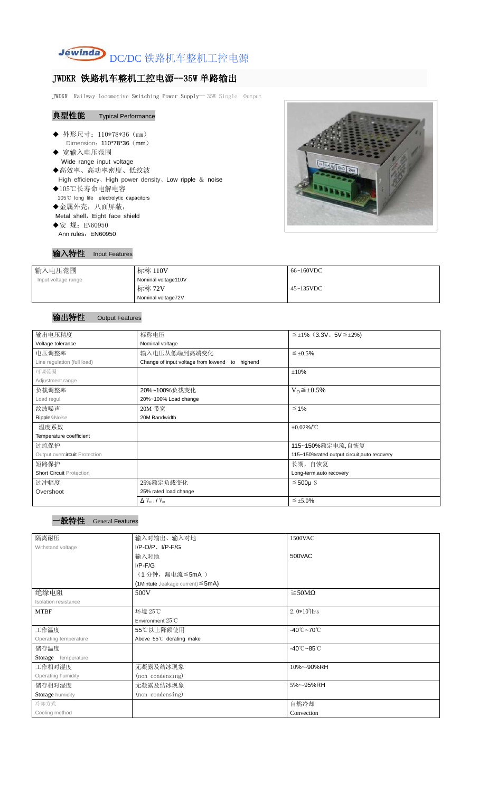

# JWDKR 铁路机车整机工控电源--35W 单路输出

JWDKR Railway locomotive Switching Power Supply-- 35W Single Output

### 典型性能 Typical Performance

- ◆ 外形尺寸: 110\*78\*36 (mm) Dimension: 110\*78\*36 (mm)
- ◆ 宽输入电压范围 Wide range input voltage ◆高效率、高功率密度、低纹波 High efficiency、High power density、Low ripple & noise
- ◆105℃长寿命电解电容 105℃ long life electrolytic capacitors
- ◆金属外壳,八面屏蔽,
- Metal shell, Eight face shield
- ◆安 规: EN60950 Ann rules: EN60950



#### 输入特性 Input Features

| 输入电压范围              | 标称 110V             | 66~160VDC         |
|---------------------|---------------------|-------------------|
| Input voltage range | Nominal voltage110V |                   |
|                     | 标称 72V              | $45 \sim 135$ VDC |
|                     | Nominal voltage72V  |                   |

## 输出特性 Output Features





| 输出电压精度                          | 标称电压                                           | $\leq \pm 1\%$ (3.3V, 5V $\leq \pm 2\%$ )   |  |  |
|---------------------------------|------------------------------------------------|---------------------------------------------|--|--|
| Voltage tolerance               | Nominal voltage                                |                                             |  |  |
| 电压调整率                           | 输入电压从低端到高端变化                                   | $\leq \pm 0.5\%$                            |  |  |
| Line regulation (full load)     | Change of input voltage from lowend to highend |                                             |  |  |
| 可调范围                            |                                                | $\pm 10\%$                                  |  |  |
| Adjustment range                |                                                |                                             |  |  |
| 负载调整率                           | 20%~100%负载变化                                   | $V_0 \leq \pm 0.5\%$                        |  |  |
| Load regul                      | 20%~100% Load change                           |                                             |  |  |
| 纹波噪声                            | 20M 带宽                                         | $\leq 1\%$                                  |  |  |
| Ripple&Noise                    | 20M Bandwidth                                  |                                             |  |  |
| 温度系数                            |                                                | $\pm 0.02\%$ /°C                            |  |  |
| Temperature coefficient         |                                                |                                             |  |  |
| 过流保护                            |                                                | 115~150%额定电流,自恢复                            |  |  |
| Output overcircuit Protection   |                                                | 115~150%rated output circuit, auto recovery |  |  |
| 短路保护                            |                                                | 长期, 自恢复                                     |  |  |
| <b>Short Circuit Protection</b> |                                                | Long-term, auto recovery                    |  |  |
| 过冲幅度                            | 25%额定负载变化                                      | $≤500µ$ S                                   |  |  |
| Overshoot                       | 25% rated load change                          |                                             |  |  |
|                                 | $\Delta$ V <sub>01</sub> /V <sub>01</sub>      | $\leq \pm 5.0\%$                            |  |  |

| 隔离耐压                  | 输入对输出、输入对地<br>1500VAC                   |                                 |  |  |
|-----------------------|-----------------------------------------|---------------------------------|--|--|
| Withstand voltage     | $I/P$ -O/P, $I/P$ -F/G                  |                                 |  |  |
|                       | 输入对地                                    | 500VAC                          |  |  |
|                       | $I/P$ - $F/G$                           |                                 |  |  |
|                       | (1分钟,漏电流≦5mA)                           |                                 |  |  |
|                       | (1Mintute, leakage current) $\leq$ 5mA) |                                 |  |  |
| 绝缘电阻                  | 500V                                    | $\geq$ 50M $\Omega$             |  |  |
| Isolation resistance  |                                         |                                 |  |  |
| <b>MTBF</b>           | 环境 25℃                                  | 2. $0*10^5$ Hrs                 |  |  |
|                       | Environment 25°C                        |                                 |  |  |
| 工作温度                  | 55℃以上降额使用                               | $-40^{\circ}$ C $-70^{\circ}$ C |  |  |
| Operating temperature | Above 55°C derating make                |                                 |  |  |
| 储存温度                  |                                         | $-40^{\circ}$ C $-85^{\circ}$ C |  |  |
| Storage temperature   |                                         |                                 |  |  |
| 工作相对湿度                | 无凝露及结冰现象                                | 10%~-90%RH                      |  |  |
| Operating humidity    | (non condensing)                        |                                 |  |  |
| 储存相对湿度                | 无凝露及结冰现象                                | 5%~-95%RH                       |  |  |
| Storage humidity      | (non condensing)                        |                                 |  |  |
| 冷却方式                  |                                         | 自然冷却                            |  |  |
| Cooling method        |                                         | Convection                      |  |  |